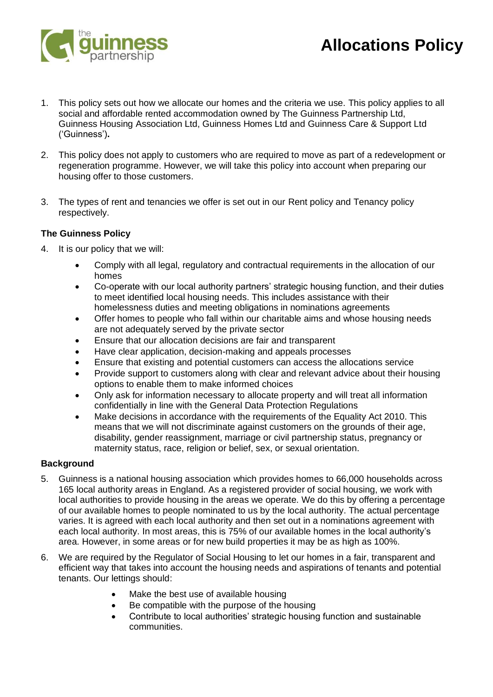

- 1. This policy sets out how we allocate our homes and the criteria we use. This policy applies to all social and affordable rented accommodation owned by The Guinness Partnership Ltd, Guinness Housing Association Ltd, Guinness Homes Ltd and Guinness Care & Support Ltd ('Guinness')**.**
- 2. This policy does not apply to customers who are required to move as part of a redevelopment or regeneration programme. However, we will take this policy into account when preparing our housing offer to those customers.
- 3. The types of rent and tenancies we offer is set out in our Rent policy and Tenancy policy respectively.

# **The Guinness Policy**

- 4. It is our policy that we will:
	- Comply with all legal, regulatory and contractual requirements in the allocation of our homes
	- Co-operate with our local authority partners' strategic housing function, and their duties to meet identified local housing needs. This includes assistance with their homelessness duties and meeting obligations in nominations agreements
	- Offer homes to people who fall within our charitable aims and whose housing needs are not adequately served by the private sector
	- Ensure that our allocation decisions are fair and transparent
	- Have clear application, decision-making and appeals processes
	- Ensure that existing and potential customers can access the allocations service
	- Provide support to customers along with clear and relevant advice about their housing options to enable them to make informed choices
	- Only ask for information necessary to allocate property and will treat all information confidentially in line with the General Data Protection Regulations
	- Make decisions in accordance with the requirements of the Equality Act 2010. This means that we will not discriminate against customers on the grounds of their age, disability, gender reassignment, marriage or civil partnership status, pregnancy or maternity status, race, religion or belief, sex, or sexual orientation.

# **Background**

- 5. Guinness is a national housing association which provides homes to 66,000 households across 165 local authority areas in England. As a registered provider of social housing, we work with local authorities to provide housing in the areas we operate. We do this by offering a percentage of our available homes to people nominated to us by the local authority. The actual percentage varies. It is agreed with each local authority and then set out in a nominations agreement with each local authority. In most areas, this is 75% of our available homes in the local authority's area. However, in some areas or for new build properties it may be as high as 100%.
- 6. We are required by the Regulator of Social Housing to let our homes in a fair, transparent and efficient way that takes into account the housing needs and aspirations of tenants and potential tenants. Our lettings should:
	- Make the best use of available housing
	- Be compatible with the purpose of the housing
	- Contribute to local authorities' strategic housing function and sustainable communities.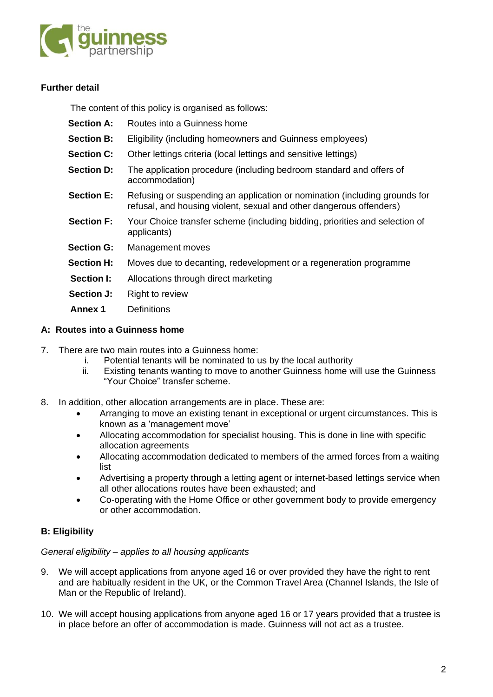

# **Further detail**

The content of this policy is organised as follows:

- **Section A:** Routes into a Guinness home
- **Section B:** Eligibility (including homeowners and Guinness employees)
- **Section C:** Other lettings criteria (local lettings and sensitive lettings)
- **Section D:** The application procedure (including bedroom standard and offers of accommodation)
- **Section E:** Refusing or suspending an application or nomination (including grounds for refusal, and housing violent, sexual and other dangerous offenders)
- **Section F:** Your Choice transfer scheme (including bidding, priorities and selection of applicants)
- **Section G:** Management moves
- **Section H:** Moves due to decanting, redevelopment or a regeneration programme
- **Section I:** Allocations through direct marketing
- **Section J:** Right to review
- **Annex 1** Definitions

# **A: Routes into a Guinness home**

- 7. There are two main routes into a Guinness home:
	- i. Potential tenants will be nominated to us by the local authority
	- ii. Existing tenants wanting to move to another Guinness home will use the Guinness "Your Choice" transfer scheme.
- 8. In addition, other allocation arrangements are in place. These are:
	- Arranging to move an existing tenant in exceptional or urgent circumstances. This is known as a 'management move'
	- Allocating accommodation for specialist housing. This is done in line with specific allocation agreements
	- Allocating accommodation dedicated to members of the armed forces from a waiting list
	- Advertising a property through a letting agent or internet-based lettings service when all other allocations routes have been exhausted; and
	- Co-operating with the Home Office or other government body to provide emergency or other accommodation.

# **B: Eligibility**

# *General eligibility – applies to all housing applicants*

- 9. We will accept applications from anyone aged 16 or over provided they have the right to rent and are habitually resident in the UK, or the Common Travel Area (Channel Islands, the Isle of Man or the Republic of Ireland).
- 10. We will accept housing applications from anyone aged 16 or 17 years provided that a trustee is in place before an offer of accommodation is made. Guinness will not act as a trustee.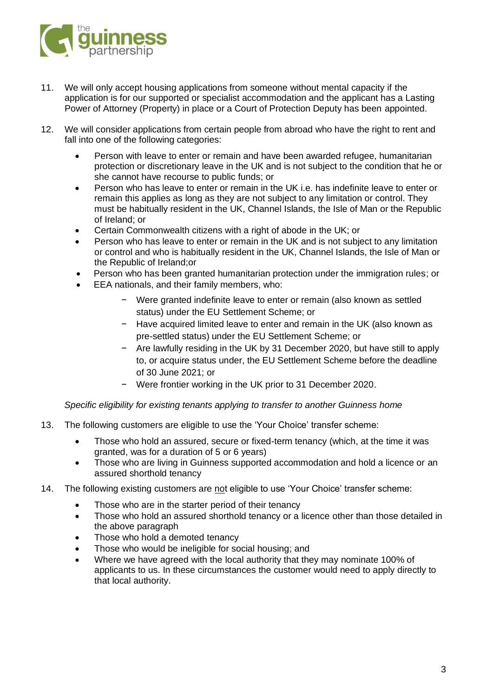

- 11. We will only accept housing applications from someone without mental capacity if the application is for our supported or specialist accommodation and the applicant has a Lasting Power of Attorney (Property) in place or a Court of Protection Deputy has been appointed.
- 12. We will consider applications from certain people from abroad who have the right to rent and fall into one of the following categories:
	- Person with leave to enter or remain and have been awarded refugee, humanitarian protection or discretionary leave in the UK and is not subject to the condition that he or she cannot have recourse to public funds; or
	- Person who has leave to enter or remain in the UK i.e. has indefinite leave to enter or remain this applies as long as they are not subject to any limitation or control. They must be habitually resident in the UK, Channel Islands, the Isle of Man or the Republic of Ireland; or
	- Certain Commonwealth citizens with a right of abode in the UK; or
	- Person who has leave to enter or remain in the UK and is not subject to any limitation or control and who is habitually resident in the UK, Channel Islands, the Isle of Man or the Republic of Ireland;or
	- Person who has been granted humanitarian protection under the immigration rules; or
	- EEA nationals, and their family members, who:
		- − Were granted indefinite leave to enter or remain (also known as settled status) under the EU Settlement Scheme; or
		- − Have acquired limited leave to enter and remain in the UK (also known as pre-settled status) under the EU Settlement Scheme; or
		- − Are lawfully residing in the UK by 31 December 2020, but have still to apply to, or acquire status under, the EU Settlement Scheme before the deadline of 30 June 2021; or
		- − Were frontier working in the UK prior to 31 December 2020.

*Specific eligibility for existing tenants applying to transfer to another Guinness home*

- 13. The following customers are eligible to use the 'Your Choice' transfer scheme:
	- Those who hold an assured, secure or fixed-term tenancy (which, at the time it was granted, was for a duration of 5 or 6 years)
	- Those who are living in Guinness supported accommodation and hold a licence or an assured shorthold tenancy
- 14. The following existing customers are not eligible to use 'Your Choice' transfer scheme:
	- Those who are in the starter period of their tenancy
	- Those who hold an assured shorthold tenancy or a licence other than those detailed in the above paragraph
	- Those who hold a demoted tenancy
	- Those who would be ineligible for social housing; and
	- Where we have agreed with the local authority that they may nominate 100% of applicants to us. In these circumstances the customer would need to apply directly to that local authority.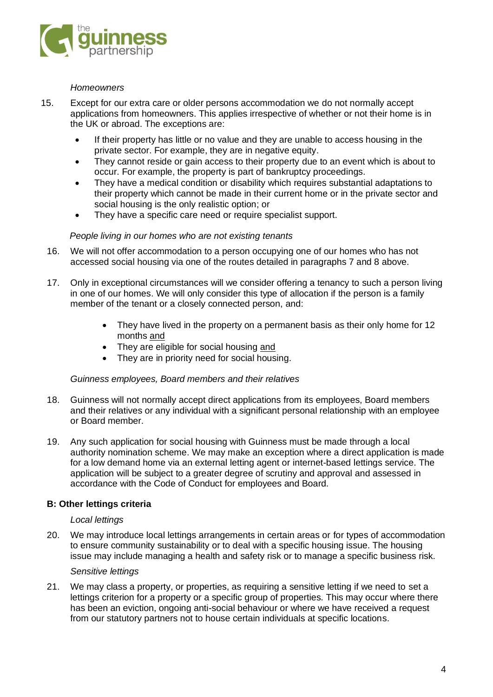

## *Homeowners*

- 15. Except for our extra care or older persons accommodation we do not normally accept applications from homeowners. This applies irrespective of whether or not their home is in the UK or abroad. The exceptions are:
	- If their property has little or no value and they are unable to access housing in the private sector. For example, they are in negative equity.
	- They cannot reside or gain access to their property due to an event which is about to occur. For example, the property is part of bankruptcy proceedings.
	- They have a medical condition or disability which requires substantial adaptations to their property which cannot be made in their current home or in the private sector and social housing is the only realistic option; or
	- They have a specific care need or require specialist support.

## *People living in our homes who are not existing tenants*

- 16. We will not offer accommodation to a person occupying one of our homes who has not accessed social housing via one of the routes detailed in paragraphs 7 and 8 above.
- 17. Only in exceptional circumstances will we consider offering a tenancy to such a person living in one of our homes. We will only consider this type of allocation if the person is a family member of the tenant or a closely connected person, and:
	- They have lived in the property on a permanent basis as their only home for 12 months and
	- They are eligible for social housing and
	- They are in priority need for social housing.

### *Guinness employees, Board members and their relatives*

- 18. Guinness will not normally accept direct applications from its employees, Board members and their relatives or any individual with a significant personal relationship with an employee or Board member.
- 19. Any such application for social housing with Guinness must be made through a local authority nomination scheme. We may make an exception where a direct application is made for a low demand home via an external letting agent or internet-based lettings service. The application will be subject to a greater degree of scrutiny and approval and assessed in accordance with the Code of Conduct for employees and Board.

# **B: Other lettings criteria**

### *Local lettings*

20. We may introduce local lettings arrangements in certain areas or for types of accommodation to ensure community sustainability or to deal with a specific housing issue. The housing issue may include managing a health and safety risk or to manage a specific business risk.

### *Sensitive lettings*

21. We may class a property, or properties, as requiring a sensitive letting if we need to set a lettings criterion for a property or a specific group of properties. This may occur where there has been an eviction, ongoing anti-social behaviour or where we have received a request from our statutory partners not to house certain individuals at specific locations.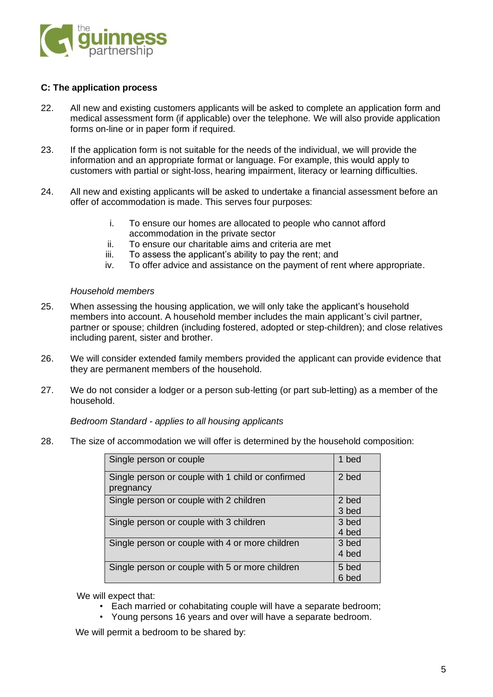

# **C: The application process**

- 22. All new and existing customers applicants will be asked to complete an application form and medical assessment form (if applicable) over the telephone. We will also provide application forms on-line or in paper form if required.
- 23. If the application form is not suitable for the needs of the individual, we will provide the information and an appropriate format or language. For example, this would apply to customers with partial or sight-loss, hearing impairment, literacy or learning difficulties.
- 24. All new and existing applicants will be asked to undertake a financial assessment before an offer of accommodation is made. This serves four purposes:
	- i. To ensure our homes are allocated to people who cannot afford accommodation in the private sector
	- ii. To ensure our charitable aims and criteria are met
	- iii. To assess the applicant's ability to pay the rent; and
	- iv. To offer advice and assistance on the payment of rent where appropriate.

### *Household members*

- 25. When assessing the housing application, we will only take the applicant's household members into account. A household member includes the main applicant's civil partner, partner or spouse; children (including fostered, adopted or step-children); and close relatives including parent, sister and brother.
- 26. We will consider extended family members provided the applicant can provide evidence that they are permanent members of the household.
- 27. We do not consider a lodger or a person sub-letting (or part sub-letting) as a member of the household.

*Bedroom Standard - applies to all housing applicants*

28. The size of accommodation we will offer is determined by the household composition:

| Single person or couple                                        | 1 bed          |
|----------------------------------------------------------------|----------------|
| Single person or couple with 1 child or confirmed<br>pregnancy | 2 bed          |
| Single person or couple with 2 children                        | 2 bed<br>3 bed |
| Single person or couple with 3 children                        | 3 bed<br>4 bed |
| Single person or couple with 4 or more children                | 3 bed<br>4 bed |
| Single person or couple with 5 or more children                | 5 bed<br>6 bed |

We will expect that:

- Each married or cohabitating couple will have a separate bedroom;
- Young persons 16 years and over will have a separate bedroom.

We will permit a bedroom to be shared by: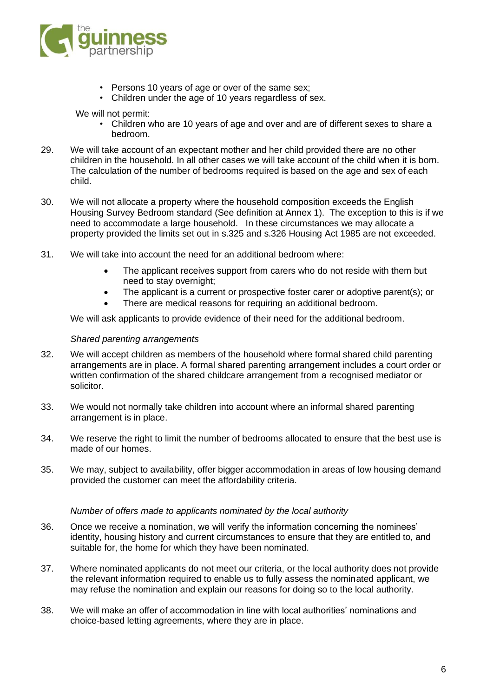

- Persons 10 years of age or over of the same sex;
- Children under the age of 10 years regardless of sex.

We will not permit:

- Children who are 10 years of age and over and are of different sexes to share a bedroom.
- 29. We will take account of an expectant mother and her child provided there are no other children in the household. In all other cases we will take account of the child when it is born. The calculation of the number of bedrooms required is based on the age and sex of each child.
- 30. We will not allocate a property where the household composition exceeds the English Housing Survey Bedroom standard (See definition at Annex 1). The exception to this is if we need to accommodate a large household. In these circumstances we may allocate a property provided the limits set out in s.325 and s.326 Housing Act 1985 are not exceeded.
- 31. We will take into account the need for an additional bedroom where:
	- The applicant receives support from carers who do not reside with them but need to stay overnight;
	- The applicant is a current or prospective foster carer or adoptive parent(s); or
	- There are medical reasons for requiring an additional bedroom.

We will ask applicants to provide evidence of their need for the additional bedroom.

### *Shared parenting arrangements*

- 32. We will accept children as members of the household where formal shared child parenting arrangements are in place. A formal shared parenting arrangement includes a court order or written confirmation of the shared childcare arrangement from a recognised mediator or solicitor.
- 33. We would not normally take children into account where an informal shared parenting arrangement is in place.
- 34. We reserve the right to limit the number of bedrooms allocated to ensure that the best use is made of our homes.
- 35. We may, subject to availability, offer bigger accommodation in areas of low housing demand provided the customer can meet the affordability criteria.

### *Number of offers made to applicants nominated by the local authority*

- 36. Once we receive a nomination, we will verify the information concerning the nominees' identity, housing history and current circumstances to ensure that they are entitled to, and suitable for, the home for which they have been nominated.
- 37. Where nominated applicants do not meet our criteria, or the local authority does not provide the relevant information required to enable us to fully assess the nominated applicant, we may refuse the nomination and explain our reasons for doing so to the local authority.
- 38. We will make an offer of accommodation in line with local authorities' nominations and choice-based letting agreements, where they are in place.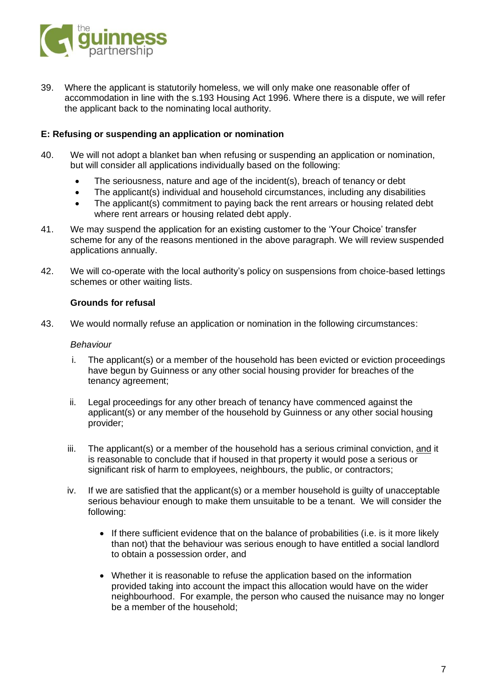

39. Where the applicant is statutorily homeless, we will only make one reasonable offer of accommodation in line with the s.193 Housing Act 1996. Where there is a dispute, we will refer the applicant back to the nominating local authority.

# **E: Refusing or suspending an application or nomination**

- 40. We will not adopt a blanket ban when refusing or suspending an application or nomination, but will consider all applications individually based on the following:
	- The seriousness, nature and age of the incident(s), breach of tenancy or debt
	- The applicant(s) individual and household circumstances, including any disabilities
	- The applicant(s) commitment to paying back the rent arrears or housing related debt where rent arrears or housing related debt apply.
- 41. We may suspend the application for an existing customer to the 'Your Choice' transfer scheme for any of the reasons mentioned in the above paragraph. We will review suspended applications annually.
- 42. We will co-operate with the local authority's policy on suspensions from choice-based lettings schemes or other waiting lists.

# **Grounds for refusal**

43. We would normally refuse an application or nomination in the following circumstances:

## *Behaviour*

- i. The applicant(s) or a member of the household has been evicted or eviction proceedings have begun by Guinness or any other social housing provider for breaches of the tenancy agreement;
- ii. Legal proceedings for any other breach of tenancy have commenced against the applicant(s) or any member of the household by Guinness or any other social housing provider;
- iii. The applicant(s) or a member of the household has a serious criminal conviction, and it is reasonable to conclude that if housed in that property it would pose a serious or significant risk of harm to employees, neighbours, the public, or contractors;
- iv. If we are satisfied that the applicant(s) or a member household is guilty of unacceptable serious behaviour enough to make them unsuitable to be a tenant. We will consider the following:
	- If there sufficient evidence that on the balance of probabilities (i.e. is it more likely than not) that the behaviour was serious enough to have entitled a social landlord to obtain a possession order, and
	- Whether it is reasonable to refuse the application based on the information provided taking into account the impact this allocation would have on the wider neighbourhood. For example, the person who caused the nuisance may no longer be a member of the household;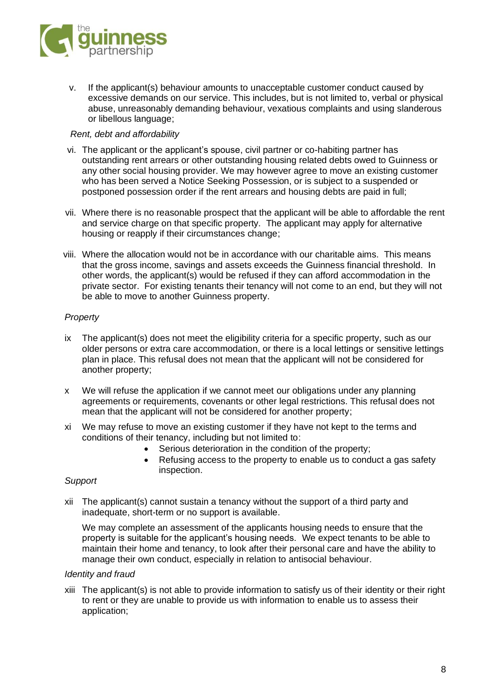

v. If the applicant(s) behaviour amounts to unacceptable customer conduct caused by excessive demands on our service. This includes, but is not limited to, verbal or physical abuse, unreasonably demanding behaviour, vexatious complaints and using slanderous or libellous language;

## *Rent, debt and affordability*

- vi. The applicant or the applicant's spouse, civil partner or co-habiting partner has outstanding rent arrears or other outstanding housing related debts owed to Guinness or any other social housing provider. We may however agree to move an existing customer who has been served a Notice Seeking Possession, or is subject to a suspended or postponed possession order if the rent arrears and housing debts are paid in full;
- vii. Where there is no reasonable prospect that the applicant will be able to affordable the rent and service charge on that specific property. The applicant may apply for alternative housing or reapply if their circumstances change;
- viii. Where the allocation would not be in accordance with our charitable aims. This means that the gross income, savings and assets exceeds the Guinness financial threshold. In other words, the applicant(s) would be refused if they can afford accommodation in the private sector. For existing tenants their tenancy will not come to an end, but they will not be able to move to another Guinness property.

# *Property*

- ix The applicant(s) does not meet the eligibility criteria for a specific property, such as our older persons or extra care accommodation, or there is a local lettings or sensitive lettings plan in place. This refusal does not mean that the applicant will not be considered for another property;
- x We will refuse the application if we cannot meet our obligations under any planning agreements or requirements, covenants or other legal restrictions. This refusal does not mean that the applicant will not be considered for another property;
- xi We may refuse to move an existing customer if they have not kept to the terms and conditions of their tenancy, including but not limited to:
	- Serious deterioration in the condition of the property;
	- Refusing access to the property to enable us to conduct a gas safety inspection.

### *Support*

xii The applicant(s) cannot sustain a tenancy without the support of a third party and inadequate, short-term or no support is available.

We may complete an assessment of the applicants housing needs to ensure that the property is suitable for the applicant's housing needs. We expect tenants to be able to maintain their home and tenancy, to look after their personal care and have the ability to manage their own conduct, especially in relation to antisocial behaviour.

### *Identity and fraud*

xiii The applicant(s) is not able to provide information to satisfy us of their identity or their right to rent or they are unable to provide us with information to enable us to assess their application;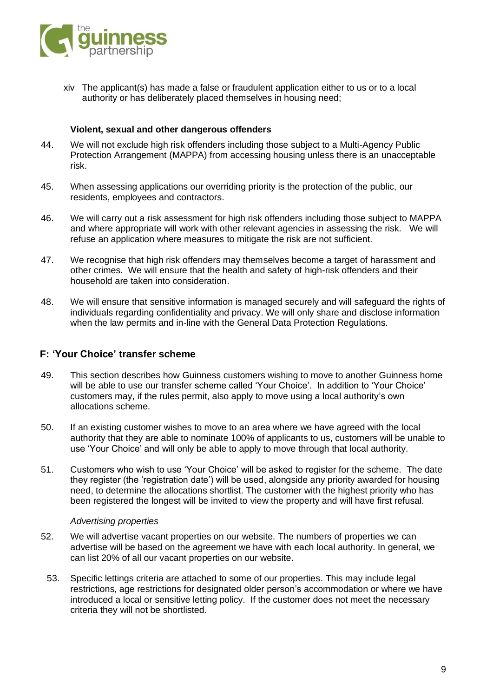

xiv The applicant(s) has made a false or fraudulent application either to us or to a local authority or has deliberately placed themselves in housing need;

## **Violent, sexual and other dangerous offenders**

- 44. We will not exclude high risk offenders including those subject to a Multi-Agency Public Protection Arrangement (MAPPA) from accessing housing unless there is an unacceptable risk.
- 45. When assessing applications our overriding priority is the protection of the public, our residents, employees and contractors.
- 46. We will carry out a risk assessment for high risk offenders including those subject to MAPPA and where appropriate will work with other relevant agencies in assessing the risk. We will refuse an application where measures to mitigate the risk are not sufficient.
- 47. We recognise that high risk offenders may themselves become a target of harassment and other crimes. We will ensure that the health and safety of high-risk offenders and their household are taken into consideration.
- 48. We will ensure that sensitive information is managed securely and will safeguard the rights of individuals regarding confidentiality and privacy. We will only share and disclose information when the law permits and in-line with the General Data Protection Regulations.

# **F: 'Your Choice' transfer scheme**

- 49. This section describes how Guinness customers wishing to move to another Guinness home will be able to use our transfer scheme called 'Your Choice'. In addition to 'Your Choice' customers may, if the rules permit, also apply to move using a local authority's own allocations scheme.
- 50. If an existing customer wishes to move to an area where we have agreed with the local authority that they are able to nominate 100% of applicants to us, customers will be unable to use 'Your Choice' and will only be able to apply to move through that local authority.
- 51. Customers who wish to use 'Your Choice' will be asked to register for the scheme. The date they register (the 'registration date') will be used, alongside any priority awarded for housing need, to determine the allocations shortlist. The customer with the highest priority who has been registered the longest will be invited to view the property and will have first refusal.

### *Advertising properties*

- 52. We will advertise vacant properties on our website. The numbers of properties we can advertise will be based on the agreement we have with each local authority. In general, we can list 20% of all our vacant properties on our website.
- 53. Specific lettings criteria are attached to some of our properties. This may include legal restrictions, age restrictions for designated older person's accommodation or where we have introduced a local or sensitive letting policy. If the customer does not meet the necessary criteria they will not be shortlisted.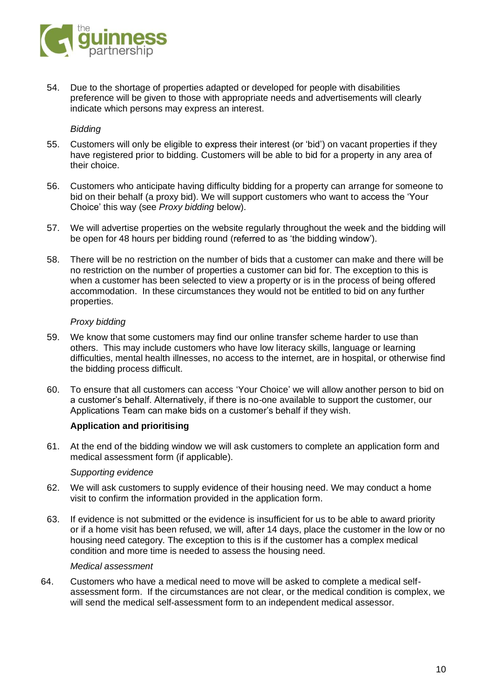

54. Due to the shortage of properties adapted or developed for people with disabilities preference will be given to those with appropriate needs and advertisements will clearly indicate which persons may express an interest.

# *Bidding*

- 55. Customers will only be eligible to express their interest (or 'bid') on vacant properties if they have registered prior to bidding. Customers will be able to bid for a property in any area of their choice.
- 56. Customers who anticipate having difficulty bidding for a property can arrange for someone to bid on their behalf (a proxy bid). We will support customers who want to access the 'Your Choice' this way (see *Proxy bidding* below).
- 57. We will advertise properties on the website regularly throughout the week and the bidding will be open for 48 hours per bidding round (referred to as 'the bidding window').
- 58. There will be no restriction on the number of bids that a customer can make and there will be no restriction on the number of properties a customer can bid for. The exception to this is when a customer has been selected to view a property or is in the process of being offered accommodation. In these circumstances they would not be entitled to bid on any further properties.

## *Proxy bidding*

- 59. We know that some customers may find our online transfer scheme harder to use than others. This may include customers who have low literacy skills, language or learning difficulties, mental health illnesses, no access to the internet, are in hospital, or otherwise find the bidding process difficult.
- 60. To ensure that all customers can access 'Your Choice' we will allow another person to bid on a customer's behalf. Alternatively, if there is no-one available to support the customer, our Applications Team can make bids on a customer's behalf if they wish.

# **Application and prioritising**

61. At the end of the bidding window we will ask customers to complete an application form and medical assessment form (if applicable).

### *Supporting evidence*

- 62. We will ask customers to supply evidence of their housing need. We may conduct a home visit to confirm the information provided in the application form.
- 63. If evidence is not submitted or the evidence is insufficient for us to be able to award priority or if a home visit has been refused, we will, after 14 days, place the customer in the low or no housing need category. The exception to this is if the customer has a complex medical condition and more time is needed to assess the housing need.

### *Medical assessment*

64. Customers who have a medical need to move will be asked to complete a medical selfassessment form. If the circumstances are not clear, or the medical condition is complex, we will send the medical self-assessment form to an independent medical assessor.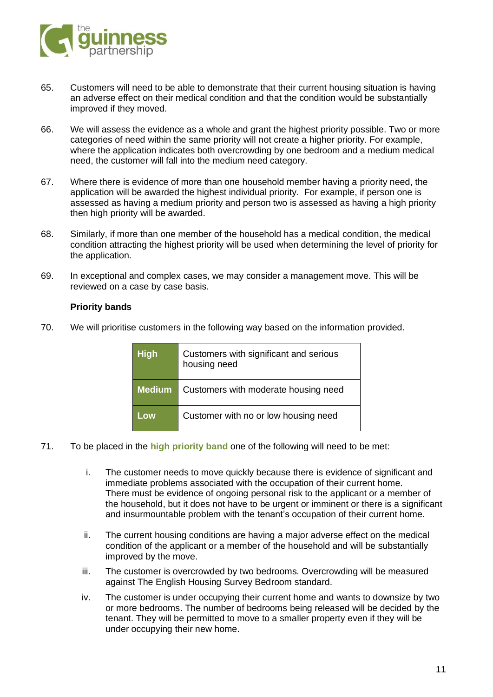

- 65. Customers will need to be able to demonstrate that their current housing situation is having an adverse effect on their medical condition and that the condition would be substantially improved if they moved.
- 66. We will assess the evidence as a whole and grant the highest priority possible. Two or more categories of need within the same priority will not create a higher priority. For example, where the application indicates both overcrowding by one bedroom and a medium medical need, the customer will fall into the medium need category.
- 67. Where there is evidence of more than one household member having a priority need, the application will be awarded the highest individual priority. For example, if person one is assessed as having a medium priority and person two is assessed as having a high priority then high priority will be awarded.
- 68. Similarly, if more than one member of the household has a medical condition, the medical condition attracting the highest priority will be used when determining the level of priority for the application.
- 69. In exceptional and complex cases, we may consider a management move. This will be reviewed on a case by case basis.

# **Priority bands**

70. We will prioritise customers in the following way based on the information provided.

| <b>High</b>   | Customers with significant and serious<br>housing need |
|---------------|--------------------------------------------------------|
| <b>Medium</b> | Customers with moderate housing need                   |
| .ow           | Customer with no or low housing need                   |

- 71. To be placed in the **high priority band** one of the following will need to be met:
	- i. The customer needs to move quickly because there is evidence of significant and immediate problems associated with the occupation of their current home. There must be evidence of ongoing personal risk to the applicant or a member of the household, but it does not have to be urgent or imminent or there is a significant and insurmountable problem with the tenant's occupation of their current home.
	- ii. The current housing conditions are having a major adverse effect on the medical condition of the applicant or a member of the household and will be substantially improved by the move.
	- iii. The customer is overcrowded by two bedrooms. Overcrowding will be measured against The English Housing Survey Bedroom standard.
	- iv. The customer is under occupying their current home and wants to downsize by two or more bedrooms. The number of bedrooms being released will be decided by the tenant. They will be permitted to move to a smaller property even if they will be under occupying their new home.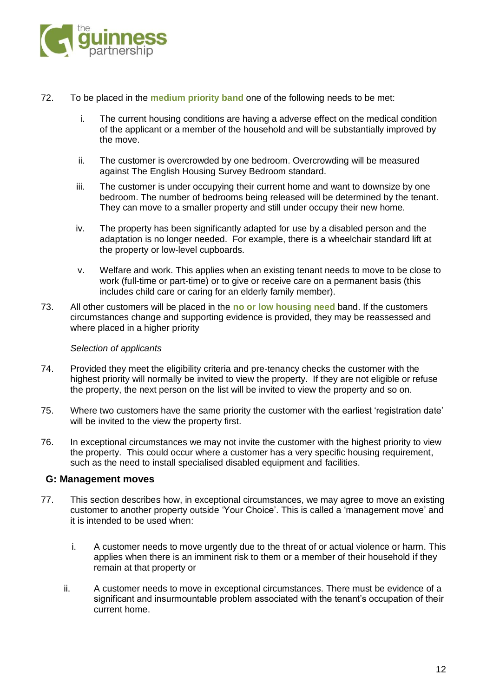

- 72. To be placed in the **medium priority band** one of the following needs to be met:
	- i. The current housing conditions are having a adverse effect on the medical condition of the applicant or a member of the household and will be substantially improved by the move.
	- ii. The customer is overcrowded by one bedroom. Overcrowding will be measured against The English Housing Survey Bedroom standard.
	- iii. The customer is under occupying their current home and want to downsize by one bedroom. The number of bedrooms being released will be determined by the tenant. They can move to a smaller property and still under occupy their new home.
	- iv. The property has been significantly adapted for use by a disabled person and the adaptation is no longer needed. For example, there is a wheelchair standard lift at the property or low-level cupboards.
	- v. Welfare and work. This applies when an existing tenant needs to move to be close to work (full-time or part-time) or to give or receive care on a permanent basis (this includes child care or caring for an elderly family member).
- 73. All other customers will be placed in the **no or low housing need** band. If the customers circumstances change and supporting evidence is provided, they may be reassessed and where placed in a higher priority

## *Selection of applicants*

- 74. Provided they meet the eligibility criteria and pre-tenancy checks the customer with the highest priority will normally be invited to view the property. If they are not eligible or refuse the property, the next person on the list will be invited to view the property and so on.
- 75. Where two customers have the same priority the customer with the earliest 'registration date' will be invited to the view the property first.
- 76. In exceptional circumstances we may not invite the customer with the highest priority to view the property. This could occur where a customer has a very specific housing requirement, such as the need to install specialised disabled equipment and facilities.

### **G: Management moves**

- 77. This section describes how, in exceptional circumstances, we may agree to move an existing customer to another property outside 'Your Choice'. This is called a 'management move' and it is intended to be used when:
	- i. A customer needs to move urgently due to the threat of or actual violence or harm. This applies when there is an imminent risk to them or a member of their household if they remain at that property or
	- ii. A customer needs to move in exceptional circumstances. There must be evidence of a significant and insurmountable problem associated with the tenant's occupation of their current home.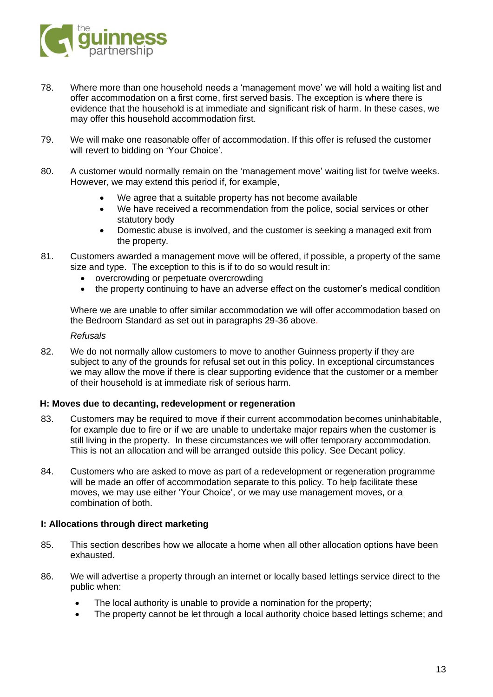

- 78. Where more than one household needs a 'management move' we will hold a waiting list and offer accommodation on a first come, first served basis. The exception is where there is evidence that the household is at immediate and significant risk of harm. In these cases, we may offer this household accommodation first.
- 79. We will make one reasonable offer of accommodation. If this offer is refused the customer will revert to bidding on 'Your Choice'.
- 80. A customer would normally remain on the 'management move' waiting list for twelve weeks. However, we may extend this period if, for example,
	- We agree that a suitable property has not become available
	- We have received a recommendation from the police, social services or other statutory body
	- Domestic abuse is involved, and the customer is seeking a managed exit from the property.
- 81. Customers awarded a management move will be offered, if possible, a property of the same size and type. The exception to this is if to do so would result in:
	- overcrowding or perpetuate overcrowding
	- the property continuing to have an adverse effect on the customer's medical condition

Where we are unable to offer similar accommodation we will offer accommodation based on the Bedroom Standard as set out in paragraphs 29-36 above.

### *Refusals*

82. We do not normally allow customers to move to another Guinness property if they are subject to any of the grounds for refusal set out in this policy. In exceptional circumstances we may allow the move if there is clear supporting evidence that the customer or a member of their household is at immediate risk of serious harm.

# **H: Moves due to decanting, redevelopment or regeneration**

- 83. Customers may be required to move if their current accommodation becomes uninhabitable, for example due to fire or if we are unable to undertake major repairs when the customer is still living in the property. In these circumstances we will offer temporary accommodation. This is not an allocation and will be arranged outside this policy. See Decant policy.
- 84. Customers who are asked to move as part of a redevelopment or regeneration programme will be made an offer of accommodation separate to this policy. To help facilitate these moves, we may use either 'Your Choice', or we may use management moves, or a combination of both.

## **I: Allocations through direct marketing**

- 85. This section describes how we allocate a home when all other allocation options have been exhausted.
- 86. We will advertise a property through an internet or locally based lettings service direct to the public when:
	- The local authority is unable to provide a nomination for the property:
	- The property cannot be let through a local authority choice based lettings scheme; and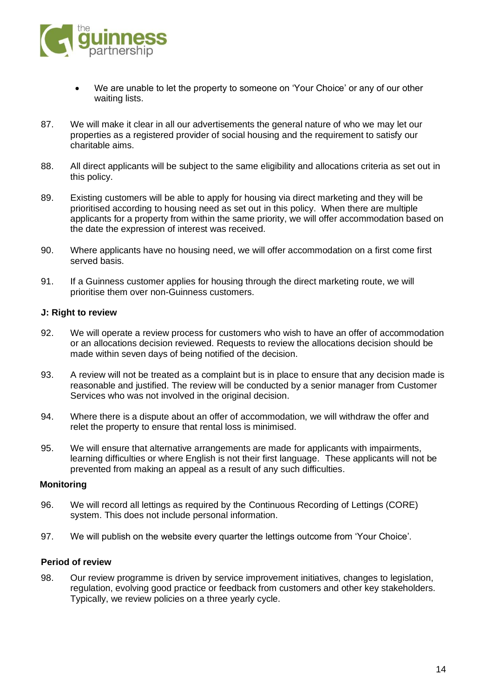

- We are unable to let the property to someone on 'Your Choice' or any of our other waiting lists.
- 87. We will make it clear in all our advertisements the general nature of who we may let our properties as a registered provider of social housing and the requirement to satisfy our charitable aims.
- 88. All direct applicants will be subject to the same eligibility and allocations criteria as set out in this policy.
- 89. Existing customers will be able to apply for housing via direct marketing and they will be prioritised according to housing need as set out in this policy. When there are multiple applicants for a property from within the same priority, we will offer accommodation based on the date the expression of interest was received.
- 90. Where applicants have no housing need, we will offer accommodation on a first come first served basis.
- 91. If a Guinness customer applies for housing through the direct marketing route, we will prioritise them over non-Guinness customers.

## **J: Right to review**

- 92. We will operate a review process for customers who wish to have an offer of accommodation or an allocations decision reviewed. Requests to review the allocations decision should be made within seven days of being notified of the decision.
- 93. A review will not be treated as a complaint but is in place to ensure that any decision made is reasonable and justified. The review will be conducted by a senior manager from Customer Services who was not involved in the original decision.
- 94. Where there is a dispute about an offer of accommodation, we will withdraw the offer and relet the property to ensure that rental loss is minimised.
- 95. We will ensure that alternative arrangements are made for applicants with impairments, learning difficulties or where English is not their first language. These applicants will not be prevented from making an appeal as a result of any such difficulties.

## **Monitoring**

- 96. We will record all lettings as required by the Continuous Recording of Lettings (CORE) system. This does not include personal information.
- 97. We will publish on the website every quarter the lettings outcome from 'Your Choice'.

# **Period of review**

98. Our review programme is driven by service improvement initiatives, changes to legislation, regulation, evolving good practice or feedback from customers and other key stakeholders. Typically, we review policies on a three yearly cycle.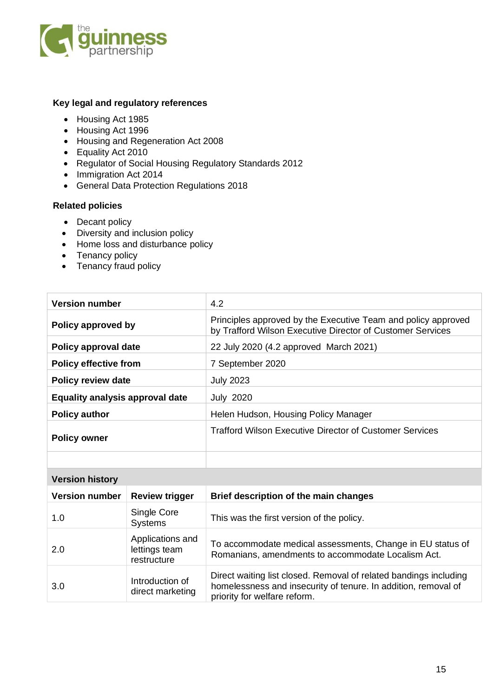

# **Key legal and regulatory references**

- Housing Act 1985
- Housing Act 1996
- Housing and Regeneration Act 2008
- Equality Act 2010
- Regulator of Social Housing Regulatory Standards 2012
- Immigration Act 2014
- General Data Protection Regulations 2018

# **Related policies**

- Decant policy
- Diversity and inclusion policy
- Home loss and disturbance policy
- Tenancy policy
- Tenancy fraud policy

| <b>Version number</b>                  | 4.2                                                                                                                         |
|----------------------------------------|-----------------------------------------------------------------------------------------------------------------------------|
| Policy approved by                     | Principles approved by the Executive Team and policy approved<br>by Trafford Wilson Executive Director of Customer Services |
| Policy approval date                   | 22 July 2020 (4.2 approved March 2021)                                                                                      |
| <b>Policy effective from</b>           | 7 September 2020                                                                                                            |
| <b>Policy review date</b>              | <b>July 2023</b>                                                                                                            |
| <b>Equality analysis approval date</b> | <b>July 2020</b>                                                                                                            |
| <b>Policy author</b>                   | Helen Hudson, Housing Policy Manager                                                                                        |
| <b>Policy owner</b>                    | <b>Trafford Wilson Executive Director of Customer Services</b>                                                              |
|                                        |                                                                                                                             |

| <b>Version history</b> |                                                  |                                                                                                                                                                     |
|------------------------|--------------------------------------------------|---------------------------------------------------------------------------------------------------------------------------------------------------------------------|
| <b>Version number</b>  | <b>Review trigger</b>                            | Brief description of the main changes                                                                                                                               |
| 1.0                    | Single Core<br><b>Systems</b>                    | This was the first version of the policy.                                                                                                                           |
| 2.0                    | Applications and<br>lettings team<br>restructure | To accommodate medical assessments, Change in EU status of<br>Romanians, amendments to accommodate Localism Act.                                                    |
| 3.0                    | Introduction of<br>direct marketing              | Direct waiting list closed. Removal of related bandings including<br>homelessness and insecurity of tenure. In addition, removal of<br>priority for welfare reform. |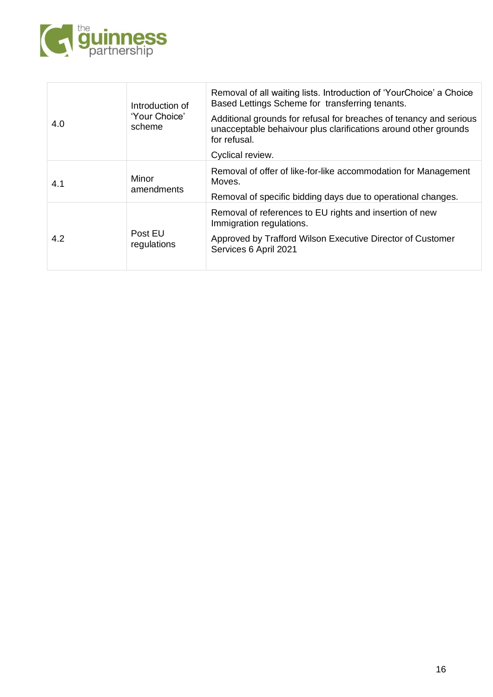

| 4.0 | Introduction of<br>'Your Choice'<br>scheme | Removal of all waiting lists. Introduction of 'YourChoice' a Choice<br>Based Lettings Scheme for transferring tenants.<br>Additional grounds for refusal for breaches of tenancy and serious<br>unacceptable behaivour plus clarifications around other grounds<br>for refusal.<br>Cyclical review. |
|-----|--------------------------------------------|-----------------------------------------------------------------------------------------------------------------------------------------------------------------------------------------------------------------------------------------------------------------------------------------------------|
| 4.1 | Minor<br>amendments                        | Removal of offer of like-for-like accommodation for Management<br>Moves.<br>Removal of specific bidding days due to operational changes.                                                                                                                                                            |
| 4.2 | Post EU<br>regulations                     | Removal of references to EU rights and insertion of new<br>Immigration regulations.<br>Approved by Trafford Wilson Executive Director of Customer<br>Services 6 April 2021                                                                                                                          |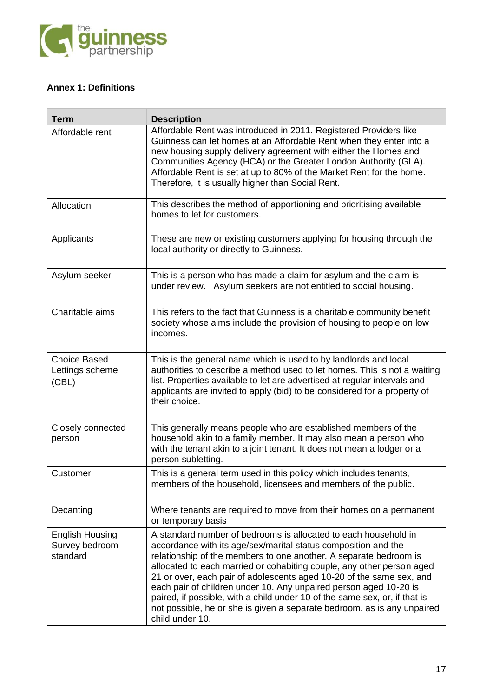

# **Annex 1: Definitions**

| <b>Term</b>                                          | <b>Description</b>                                                                                                                                                                                                                                                                                                                                                                                                                                                                                                                                                                                       |
|------------------------------------------------------|----------------------------------------------------------------------------------------------------------------------------------------------------------------------------------------------------------------------------------------------------------------------------------------------------------------------------------------------------------------------------------------------------------------------------------------------------------------------------------------------------------------------------------------------------------------------------------------------------------|
| Affordable rent                                      | Affordable Rent was introduced in 2011. Registered Providers like<br>Guinness can let homes at an Affordable Rent when they enter into a<br>new housing supply delivery agreement with either the Homes and<br>Communities Agency (HCA) or the Greater London Authority (GLA).<br>Affordable Rent is set at up to 80% of the Market Rent for the home.<br>Therefore, it is usually higher than Social Rent.                                                                                                                                                                                              |
| Allocation                                           | This describes the method of apportioning and prioritising available<br>homes to let for customers.                                                                                                                                                                                                                                                                                                                                                                                                                                                                                                      |
| Applicants                                           | These are new or existing customers applying for housing through the<br>local authority or directly to Guinness.                                                                                                                                                                                                                                                                                                                                                                                                                                                                                         |
| Asylum seeker                                        | This is a person who has made a claim for asylum and the claim is<br>under review. Asylum seekers are not entitled to social housing.                                                                                                                                                                                                                                                                                                                                                                                                                                                                    |
| Charitable aims                                      | This refers to the fact that Guinness is a charitable community benefit<br>society whose aims include the provision of housing to people on low<br>incomes.                                                                                                                                                                                                                                                                                                                                                                                                                                              |
| <b>Choice Based</b><br>Lettings scheme<br>(CBL)      | This is the general name which is used to by landlords and local<br>authorities to describe a method used to let homes. This is not a waiting<br>list. Properties available to let are advertised at regular intervals and<br>applicants are invited to apply (bid) to be considered for a property of<br>their choice.                                                                                                                                                                                                                                                                                  |
| Closely connected<br>person                          | This generally means people who are established members of the<br>household akin to a family member. It may also mean a person who<br>with the tenant akin to a joint tenant. It does not mean a lodger or a<br>person subletting.                                                                                                                                                                                                                                                                                                                                                                       |
| Customer                                             | This is a general term used in this policy which includes tenants,<br>members of the household, licensees and members of the public.                                                                                                                                                                                                                                                                                                                                                                                                                                                                     |
| Decanting                                            | Where tenants are required to move from their homes on a permanent<br>or temporary basis                                                                                                                                                                                                                                                                                                                                                                                                                                                                                                                 |
| <b>English Housing</b><br>Survey bedroom<br>standard | A standard number of bedrooms is allocated to each household in<br>accordance with its age/sex/marital status composition and the<br>relationship of the members to one another. A separate bedroom is<br>allocated to each married or cohabiting couple, any other person aged<br>21 or over, each pair of adolescents aged 10-20 of the same sex, and<br>each pair of children under 10. Any unpaired person aged 10-20 is<br>paired, if possible, with a child under 10 of the same sex, or, if that is<br>not possible, he or she is given a separate bedroom, as is any unpaired<br>child under 10. |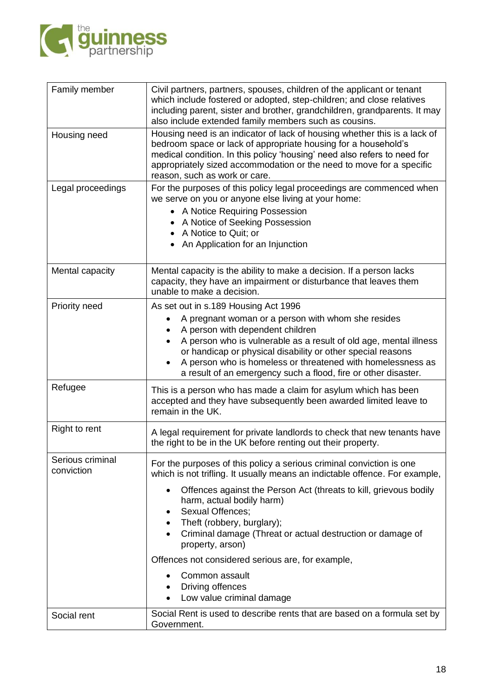

| Family member                  | Civil partners, partners, spouses, children of the applicant or tenant<br>which include fostered or adopted, step-children; and close relatives<br>including parent, sister and brother, grandchildren, grandparents. It may<br>also include extended family members such as cousins.                                                                                                                                                                                                                             |
|--------------------------------|-------------------------------------------------------------------------------------------------------------------------------------------------------------------------------------------------------------------------------------------------------------------------------------------------------------------------------------------------------------------------------------------------------------------------------------------------------------------------------------------------------------------|
| Housing need                   | Housing need is an indicator of lack of housing whether this is a lack of<br>bedroom space or lack of appropriate housing for a household's<br>medical condition. In this policy 'housing' need also refers to need for<br>appropriately sized accommodation or the need to move for a specific<br>reason, such as work or care.                                                                                                                                                                                  |
| Legal proceedings              | For the purposes of this policy legal proceedings are commenced when<br>we serve on you or anyone else living at your home:<br>• A Notice Requiring Possession<br>A Notice of Seeking Possession<br>• A Notice to Quit; or<br>• An Application for an Injunction                                                                                                                                                                                                                                                  |
| Mental capacity                | Mental capacity is the ability to make a decision. If a person lacks<br>capacity, they have an impairment or disturbance that leaves them<br>unable to make a decision.                                                                                                                                                                                                                                                                                                                                           |
| Priority need                  | As set out in s.189 Housing Act 1996<br>A pregnant woman or a person with whom she resides<br>A person with dependent children<br>A person who is vulnerable as a result of old age, mental illness<br>or handicap or physical disability or other special reasons<br>A person who is homeless or threatened with homelessness as<br>a result of an emergency such a flood, fire or other disaster.                                                                                                               |
| Refugee                        | This is a person who has made a claim for asylum which has been<br>accepted and they have subsequently been awarded limited leave to<br>remain in the UK.                                                                                                                                                                                                                                                                                                                                                         |
| Right to rent                  | A legal requirement for private landlords to check that new tenants have<br>the right to be in the UK before renting out their property.                                                                                                                                                                                                                                                                                                                                                                          |
| Serious criminal<br>conviction | For the purposes of this policy a serious criminal conviction is one<br>which is not trifling. It usually means an indictable offence. For example,<br>Offences against the Person Act (threats to kill, grievous bodily<br>harm, actual bodily harm)<br>Sexual Offences;<br>Theft (robbery, burglary);<br>Criminal damage (Threat or actual destruction or damage of<br>property, arson)<br>Offences not considered serious are, for example,<br>Common assault<br>Driving offences<br>Low value criminal damage |
| Social rent                    | Social Rent is used to describe rents that are based on a formula set by<br>Government.                                                                                                                                                                                                                                                                                                                                                                                                                           |